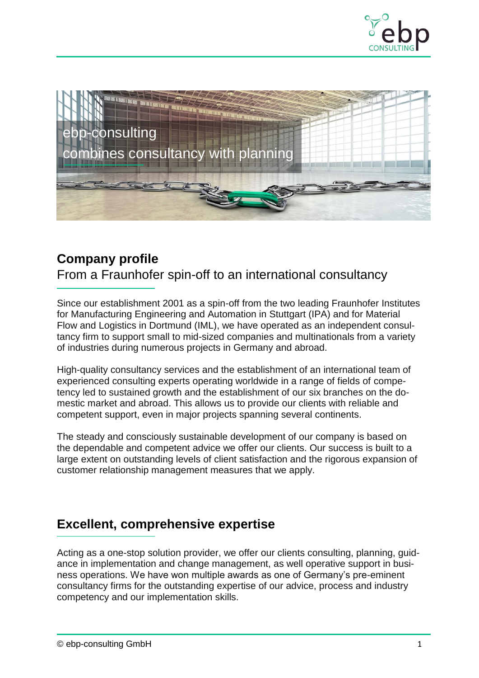



## **Company profile**

From a Fraunhofer spin-off to an international consultancy

Since our establishment 2001 as a spin-off from the two leading Fraunhofer Institutes for Manufacturing Engineering and Automation in Stuttgart (IPA) and for Material Flow and Logistics in Dortmund (IML), we have operated as an independent consultancy firm to support small to mid-sized companies and multinationals from a variety of industries during numerous projects in Germany and abroad.

High-quality consultancy services and the establishment of an international team of experienced consulting experts operating worldwide in a range of fields of competency led to sustained growth and the establishment of our six branches on the domestic market and abroad. This allows us to provide our clients with reliable and competent support, even in major projects spanning several continents.

The steady and consciously sustainable development of our company is based on the dependable and competent advice we offer our clients. Our success is built to a large extent on outstanding levels of client satisfaction and the rigorous expansion of customer relationship management measures that we apply.

### **Excellent, comprehensive expertise**

Acting as a one-stop solution provider, we offer our clients consulting, planning, guidance in implementation and change management, as well operative support in business operations. We have won multiple awards as one of Germany's pre-eminent consultancy firms for the outstanding expertise of our advice, process and industry competency and our implementation skills.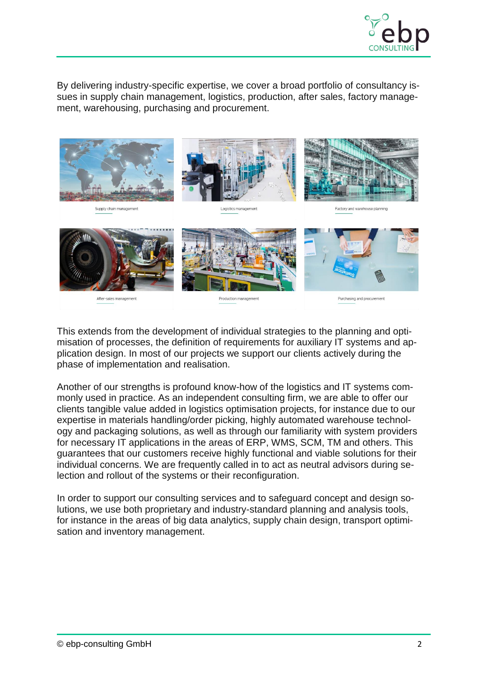

By delivering industry-specific expertise, we cover a broad portfolio of consultancy issues in supply chain management, logistics, production, after sales, factory management, warehousing, purchasing and procurement.



This extends from the development of individual strategies to the planning and optimisation of processes, the definition of requirements for auxiliary IT systems and application design. In most of our projects we support our clients actively during the phase of implementation and realisation.

Another of our strengths is profound know-how of the logistics and IT systems commonly used in practice. As an independent consulting firm, we are able to offer our clients tangible value added in logistics optimisation projects, for instance due to our expertise in materials handling/order picking, highly automated warehouse technology and packaging solutions, as well as through our familiarity with system providers for necessary IT applications in the areas of ERP, WMS, SCM, TM and others. This guarantees that our customers receive highly functional and viable solutions for their individual concerns. We are frequently called in to act as neutral advisors during selection and rollout of the systems or their reconfiguration.

In order to support our consulting services and to safeguard concept and design solutions, we use both proprietary and industry-standard planning and analysis tools, for instance in the areas of big data analytics, supply chain design, transport optimisation and inventory management.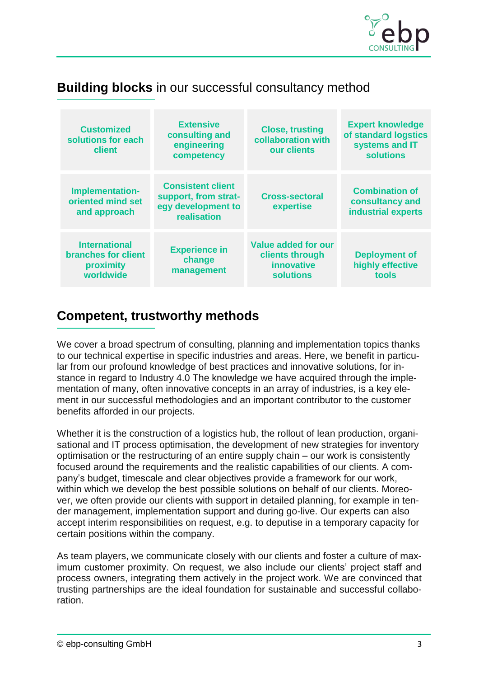

# **Building blocks** in our successful consultancy method

| <b>Customized</b><br>solutions for each<br>client                            | <b>Extensive</b><br>consulting and<br>engineering<br>competency                       | <b>Close, trusting</b><br>collaboration with<br>our clients                     | <b>Expert knowledge</b><br>of standard logstics<br>systems and IT<br><b>solutions</b> |
|------------------------------------------------------------------------------|---------------------------------------------------------------------------------------|---------------------------------------------------------------------------------|---------------------------------------------------------------------------------------|
| Implementation-<br>oriented mind set<br>and approach                         | <b>Consistent client</b><br>support, from strat-<br>egy development to<br>realisation | <b>Cross-sectoral</b><br>expertise                                              | <b>Combination of</b><br>consultancy and<br>industrial experts                        |
| <b>International</b><br><b>branches for client</b><br>proximity<br>worldwide | <b>Experience in</b><br>change<br>management                                          | <b>Value added for our</b><br>clients through<br>innovative<br><b>solutions</b> | <b>Deployment of</b><br>highly effective<br>tools                                     |

## **Competent, trustworthy methods**

We cover a broad spectrum of consulting, planning and implementation topics thanks to our technical expertise in specific industries and areas. Here, we benefit in particular from our profound knowledge of best practices and innovative solutions, for instance in regard to Industry 4.0 The knowledge we have acquired through the implementation of many, often innovative concepts in an array of industries, is a key element in our successful methodologies and an important contributor to the customer benefits afforded in our projects.

Whether it is the construction of a logistics hub, the rollout of lean production, organisational and IT process optimisation, the development of new strategies for inventory optimisation or the restructuring of an entire supply chain – our work is consistently focused around the requirements and the realistic capabilities of our clients. A company's budget, timescale and clear objectives provide a framework for our work, within which we develop the best possible solutions on behalf of our clients. Moreover, we often provide our clients with support in detailed planning, for example in tender management, implementation support and during go-live. Our experts can also accept interim responsibilities on request, e.g. to deputise in a temporary capacity for certain positions within the company.

As team players, we communicate closely with our clients and foster a culture of maximum customer proximity. On request, we also include our clients' project staff and process owners, integrating them actively in the project work. We are convinced that trusting partnerships are the ideal foundation for sustainable and successful collaboration.